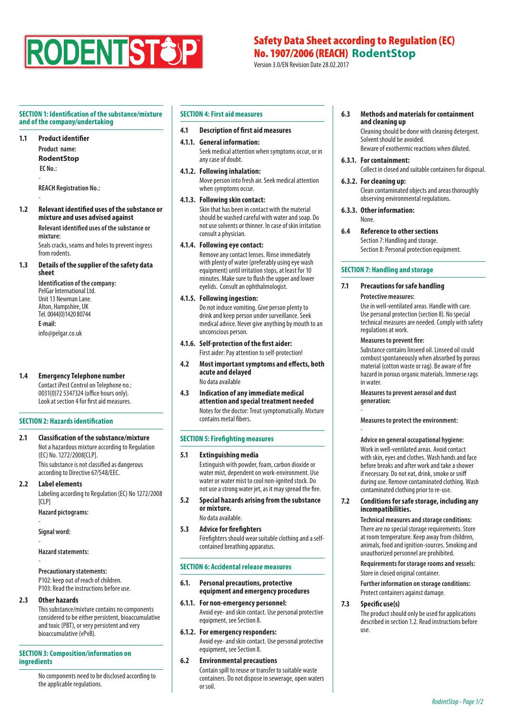

# Safety Data Sheet according to Regulation (EC) No. 1907/2006 (REACH) **RodentStop**

Version 3.0/EN Revision Date 28.02.2017

## **SECTION 1: Identification of the substance/mixture and of the company/undertaking**

**1.1 Product identifier**

-

**Product name: RodentStop EC No.:**  -

**REACH Registration No.:** 

**1.2 Relevant identified uses of the substance or mixture and uses advised against Relevant identified uses of the substance or** 

**mixture:** Seals cracks, seams and holes to prevent ingress from rodents.

**1.3 Details of the supplier of the safety data sheet**

**Identification of the company:** PelGar International Ltd. Unit 13 Newman Lane. Alton, Hampshire, UK Tel. 0044(0)1420 80744 **E-mail:**  info@pelgar.co.uk

**1.4 Emergency Telephone number** Contact iPest Control on Telephone no.: 0031(0)72 5347324 (office hours only). Look at section 4 for first aid measures.

# **SECTION 2: Hazards identification**

**2.1 Classification of the substance/mixture** Not a hazardous mixture according to Regulation (EC) No. 1272/2008[CLP]. This substance is not classified as dangerous according to Directive 67/548/EEC.

## **2.2 Label elements**

Labeling according to Regulation (EC) No 1272/2008 [CLP]

**Hazard pictograms:** 

**Signal word:** 

-

-

-

**Hazard statements:** 

# **Precautionary statements:**

P102: keep out of reach of children. P103: Read the instructions before use.

#### **2.3 Other hazards**

This substance/mixture contains no components considered to be either persistent, bioaccumulative and toxic (PBT), or very persistent and very bioaccumulative (vPvB).

# **SECTION 3: Composition/information on ingredients**

No components need to be disclosed according to the applicable regulations.

# **SECTION 4: First aid measures**

#### **4.1 Description of first aid measures**

#### **4.1.1. General information:** Seek medical attention when symptoms occur, or in any case of doubt.

**4.1.2. Following inhalation:**

Move person into fresh air. Seek medical attention when symptoms occur.

# **4.1.3. Following skin contact:**

Skin that has been in contact with the material should be washed careful with water and soap. Do not use solvents or thinner. In case of skin irritation consult a physician.

# **4.1.4. Following eye contact:**

Remove any contact lenses. Rinse immediately with plenty of water (preferably using eye wash equipment) until irritation stops, at least for 10 minutes. Make sure to flush the upper and lower eyelids. Consult an ophthalmologist.

## **4.1.5. Following ingestion:**

Do not induce vomiting. Give person plenty to drink and keep person under surveillance. Seek medical advice. Never give anything by mouth to an unconscious person.

### **4.1.6. Self-protection of the first aider:**

- First aider: Pay attention to self-protection! **4.2 Most important symptoms and effects, both**
- **acute and delayed** No data available
- **4.3 Indication of any immediate medical attention and special treatment needed** Notes for the doctor: Treat symptomatically. Mixture contains metal fibers.

# **SECTION 5: Firefighting measures**

#### **5.1 Extinguishing media**

Extinguish with powder, foam, carbon dioxide or water mist, dependent on work-environment. Use water or water mist to cool non-ignited stock. Do not use a strong water jet, as it may spread the fire.

- **5.2 Special hazards arising from the substance or mixture.** No data available.
- **5.3 Advice for firefighters**

Firefighters should wear suitable clothing and a selfcontained breathing apparatus.

#### **SECTION 6: Accidental release measures**

**6.1. Personal precautions, protective equipment and emergency procedures**

**6.1.1. For non-emergency personnel:** Avoid eye- and skin contact. Use personal protective equipment, see Section 8.

- **6.1.2. For emergency responders:** Avoid eye- and skin contact. Use personal protective equipment, see Section 8.
- **6.2 Environmental precautions** Contain spill to reuse or transfer to suitable waste containers. Do not dispose in sewerage, open waters or soil.

## **6.3 Methods and materials for containment and cleaning up**

Cleaning should be done with cleaning detergent. Solvent should be avoided. Beware of exothermic reactions when diluted.

**6.3.1. For containment:** Collect in closed and suitable containers for disposal.

# **6.3.2. For cleaning up:**

Clean contaminated objects and areas thoroughly observing environmental regulations.

# **6.3.3. Other information:**

None.

# **6.4 Reference to other sections**

Section 7: Handling and storage. Section 8: Personal protection equipment.

# **SECTION 7: Handling and storage**

# **7.1 Precautions for safe handling**

### **Protective measures:**

-

-

Use in well-ventilated areas. Handle with care. Use personal protection (section 8). No special technical measures are needed. Comply with safety regulations at work.

## **Measures to prevent fire:**

Substance contains linseed oil. Linseed oil could combust spontaneously when absorbed by porous material (cotton waste or rag). Be aware of fire hazard in porous organic materials. Immerse rags in water.

**Measures to prevent aerosol and dust generation:** 

**Measures to protect the environment:** 

#### **Advice on general occupational hygiene:**

Work in well-ventilated areas. Avoid contact with skin, eyes and clothes. Wash hands and face before breaks and after work and take a shower if necessary. Do not eat, drink, smoke or sniff during use. Remove contaminated clothing. Wash contaminated clothing prior to re-use.

**7.2 Conditions for safe storage, including any incompatibilities.**

> **Technical measures and storage conditions:** There are no special storage requirements. Store at room temperature. Keep away from children, animals, food and ignition-sources. Smoking and unauthorized personnel are prohibited.

**Requirements for storage rooms and vessels:** Store in closed original container.

**Further information on storage conditions:** Protect containers against damage.

#### **7.3 Specific use(s)**

The product should only be used for applications described in section 1.2. Read instructions before use.